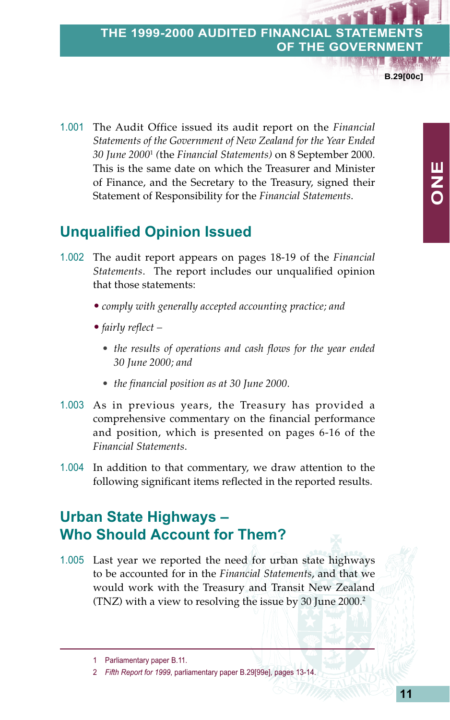#### **THE 1999-2000 AUDITED FINANCIAL OF THE GOVERNME**

**B.29[00c]**

1.001 The Audit Office issued its audit report on the *Financial Statements of the Government of New Zealand for the Year Ended 30 June 2000*<sup>1</sup>  *(*the *Financial Statements)* on 8 September 2000. This is the same date on which the Treasurer and Minister of Finance, and the Secretary to the Treasury, signed their Statement of Responsibility for the *Financial Statements*.

### **Unqualified Opinion Issued**

- 1.002 The audit report appears on pages 18-19 of the *Financial Statements*. The report includes our unqualified opinion that those statements:
	- *comply with generally accepted accounting practice; and*
	- *fairly reflect –*
		- *the results of operations and cash flows for the year ended 30 June 2000; and*
		- *the financial position as at 30 June 2000.*
- 1.003 As in previous years, the Treasury has provided a comprehensive commentary on the financial performance and position, which is presented on pages 6-16 of the *Financial Statements*.
- 1.004 In addition to that commentary, we draw attention to the following significant items reflected in the reported results.

# **Urban State Highways – Who Should Account for Them?**

1.005 Last year we reported the need for urban state highways to be accounted for in the *Financial Statements*, and that we would work with the Treasury and Transit New Zealand (TNZ) with a view to resolving the issue by 30 June 2000.2

<sup>1</sup> Parliamentary paper B.11.

<sup>2</sup> *Fifth Report for 1999*, parliamentary paper B.29[99e], pages 13-14.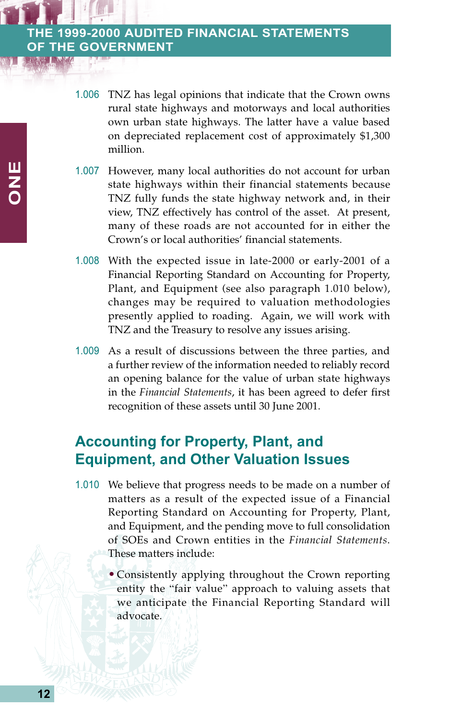1.006 TNZ has legal opinions that indicate that the Crown owns rural state highways and motorways and local authorities own urban state highways. The latter have a value based on depreciated replacement cost of approximately \$1,300 million.

- 1.007 However, many local authorities do not account for urban state highways within their financial statements because TNZ fully funds the state highway network and, in their view, TNZ effectively has control of the asset. At present, many of these roads are not accounted for in either the Crown's or local authorities' financial statements.
- 1.008 With the expected issue in late-2000 or early-2001 of a Financial Reporting Standard on Accounting for Property, Plant, and Equipment (see also paragraph 1.010 below), changes may be required to valuation methodologies presently applied to roading. Again, we will work with TNZ and the Treasury to resolve any issues arising.
- 1.009 As a result of discussions between the three parties, and a further review of the information needed to reliably record an opening balance for the value of urban state highways in the *Financial Statements*, it has been agreed to defer first recognition of these assets until 30 June 2001.

### **Accounting for Property, Plant, and Equipment, and Other Valuation Issues**

- 1.010 We believe that progress needs to be made on a number of matters as a result of the expected issue of a Financial Reporting Standard on Accounting for Property, Plant, and Equipment, and the pending move to full consolidation of SOEs and Crown entities in the *Financial Statements*. These matters include:
	- Consistently applying throughout the Crown reporting entity the "fair value" approach to valuing assets that we anticipate the Financial Reporting Standard will advocate.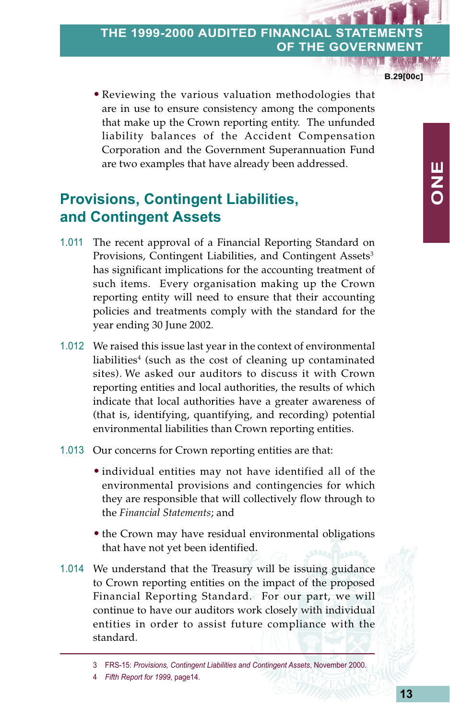**B.29[00c]**

**ONE**

• Reviewing the various valuation methodologies that are in use to ensure consistency among the components that make up the Crown reporting entity. The unfunded liability balances of the Accident Compensation Corporation and the Government Superannuation Fund are two examples that have already been addressed.

## **Provisions, Contingent Liabilities, and Contingent Assets**

- 1.011 The recent approval of a Financial Reporting Standard on Provisions, Contingent Liabilities, and Contingent Assets<sup>3</sup> has significant implications for the accounting treatment of such items. Every organisation making up the Crown reporting entity will need to ensure that their accounting policies and treatments comply with the standard for the year ending 30 June 2002.
- 1.012 We raised this issue last year in the context of environmental liabilities<sup>4</sup> (such as the cost of cleaning up contaminated sites). We asked our auditors to discuss it with Crown reporting entities and local authorities, the results of which indicate that local authorities have a greater awareness of (that is, identifying, quantifying, and recording) potential environmental liabilities than Crown reporting entities.
- 1.013 Our concerns for Crown reporting entities are that:
	- individual entities may not have identified all of the environmental provisions and contingencies for which they are responsible that will collectively flow through to the *Financial Statements*; and
	- the Crown may have residual environmental obligations that have not yet been identified.
- 1.014 We understand that the Treasury will be issuing guidance to Crown reporting entities on the impact of the proposed Financial Reporting Standard. For our part, we will continue to have our auditors work closely with individual entities in order to assist future compliance with the standard.

<sup>3</sup> FRS-15: *Provisions, Contingent Liabilities and Contingent Assets*, November 2000.

<sup>4</sup> *Fifth Report for 1999*, page14.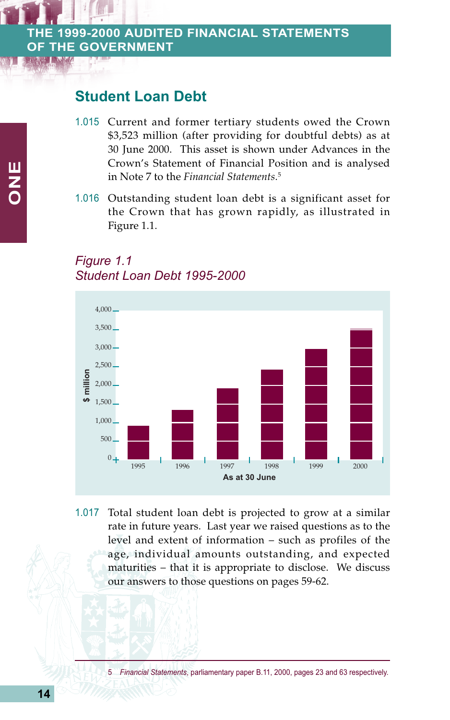#### **Student Loan Debt**

- 1.015 Current and former tertiary students owed the Crown \$3,523 million (after providing for doubtful debts) as at 30 June 2000. This asset is shown under Advances in the Crown's Statement of Financial Position and is analysed in Note 7 to the *Financial Statements*. 5
- 1.016 Outstanding student loan debt is a significant asset for the Crown that has grown rapidly, as illustrated in Figure 1.1.

#### *Figure 1.1 Student Loan Debt 1995-2000*



1.017 Total student loan debt is projected to grow at a similar rate in future years. Last year we raised questions as to the level and extent of information – such as profiles of the age, individual amounts outstanding, and expected maturities – that it is appropriate to disclose. We discuss our answers to those questions on pages 59-62.